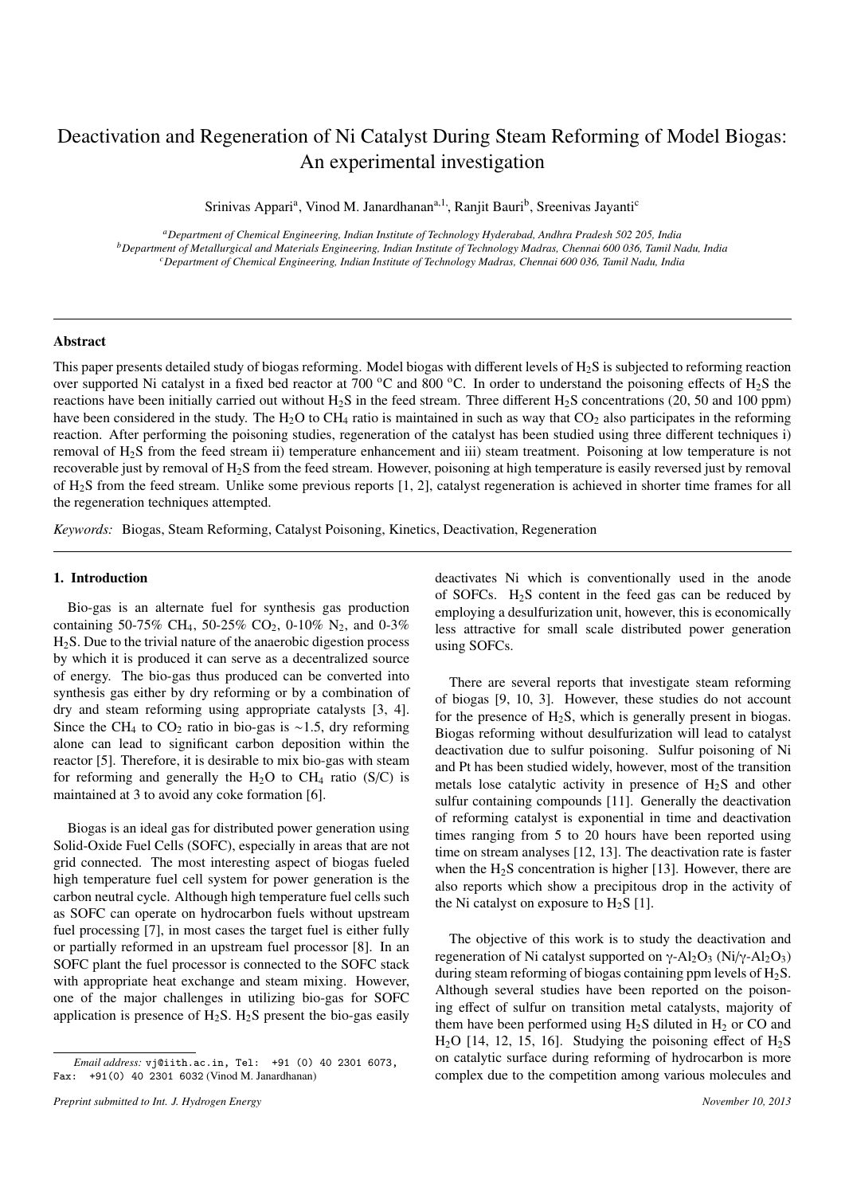# Deactivation and Regeneration of Ni Catalyst During Steam Reforming of Model Biogas: An experimental investigation

Srinivas Appari<sup>a</sup>, Vinod M. Janardhanan<sup>a,1</sup>, Ranjit Bauri<sup>b</sup>, Sreenivas Jayanti<sup>c</sup>

*<sup>a</sup>Department of Chemical Engineering, Indian Institute of Technology Hyderabad, Andhra Pradesh 502 205, India <sup>b</sup>Department of Metallurgical and Materials Engineering, Indian Institute of Technology Madras, Chennai 600 036, Tamil Nadu, India <sup>c</sup>Department of Chemical Engineering, Indian Institute of Technology Madras, Chennai 600 036, Tamil Nadu, India*

#### Abstract

This paper presents detailed study of biogas reforming. Model biogas with different levels of  $H_2S$  is subjected to reforming reaction over supported Ni catalyst in a fixed bed reactor at 700  $^{\circ}$ C and 800  $^{\circ}$ C. In order to understand the poisoning effects of H<sub>2</sub>S the reactions have been initially carried out without H<sub>2</sub>S in the feed stream. Three different H<sub>2</sub>S concentrations (20, 50 and 100 ppm) have been considered in the study. The H<sub>2</sub>O to CH<sub>4</sub> ratio is maintained in such as way that  $CO<sub>2</sub>$  also participates in the reforming reaction. After performing the poisoning studies, regeneration of the catalyst has been studied using three different techniques i) removal of H2S from the feed stream ii) temperature enhancement and iii) steam treatment. Poisoning at low temperature is not recoverable just by removal of H2S from the feed stream. However, poisoning at high temperature is easily reversed just by removal of H2S from the feed stream. Unlike some previous reports [1, 2], catalyst regeneration is achieved in shorter time frames for all the regeneration techniques attempted.

*Keywords:* Biogas, Steam Reforming, Catalyst Poisoning, Kinetics, Deactivation, Regeneration

# 1. Introduction

Bio-gas is an alternate fuel for synthesis gas production containing 50-75% CH<sub>4</sub>, 50-25% CO<sub>2</sub>, 0-10% N<sub>2</sub>, and 0-3% H2S. Due to the trivial nature of the anaerobic digestion process by which it is produced it can serve as a decentralized source of energy. The bio-gas thus produced can be converted into synthesis gas either by dry reforming or by a combination of dry and steam reforming using appropriate catalysts [3, 4]. Since the CH<sub>4</sub> to CO<sub>2</sub> ratio in bio-gas is ~1.5, dry reforming alone can lead to significant carbon deposition within the reactor [5]. Therefore, it is desirable to mix bio-gas with steam for reforming and generally the  $H_2O$  to CH<sub>4</sub> ratio (S/C) is maintained at 3 to avoid any coke formation [6].

Biogas is an ideal gas for distributed power generation using Solid-Oxide Fuel Cells (SOFC), especially in areas that are not grid connected. The most interesting aspect of biogas fueled high temperature fuel cell system for power generation is the carbon neutral cycle. Although high temperature fuel cells such as SOFC can operate on hydrocarbon fuels without upstream fuel processing [7], in most cases the target fuel is either fully or partially reformed in an upstream fuel processor [8]. In an SOFC plant the fuel processor is connected to the SOFC stack with appropriate heat exchange and steam mixing. However, one of the major challenges in utilizing bio-gas for SOFC application is presence of  $H_2S$ .  $H_2S$  present the bio-gas easily

deactivates Ni which is conventionally used in the anode of SOFCs.  $H_2S$  content in the feed gas can be reduced by employing a desulfurization unit, however, this is economically less attractive for small scale distributed power generation using SOFCs.

There are several reports that investigate steam reforming of biogas [9, 10, 3]. However, these studies do not account for the presence of  $H_2S$ , which is generally present in biogas. Biogas reforming without desulfurization will lead to catalyst deactivation due to sulfur poisoning. Sulfur poisoning of Ni and Pt has been studied widely, however, most of the transition metals lose catalytic activity in presence of  $H_2S$  and other sulfur containing compounds [11]. Generally the deactivation of reforming catalyst is exponential in time and deactivation times ranging from 5 to 20 hours have been reported using time on stream analyses [12, 13]. The deactivation rate is faster when the  $H_2S$  concentration is higher [13]. However, there are also reports which show a precipitous drop in the activity of the Ni catalyst on exposure to  $H_2S$  [1].

The objective of this work is to study the deactivation and regeneration of Ni catalyst supported on  $\gamma$ -Al<sub>2</sub>O<sub>3</sub> (Ni/γ-Al<sub>2</sub>O<sub>3</sub>) during steam reforming of biogas containing ppm levels of  $H_2S$ . Although several studies have been reported on the poisoning effect of sulfur on transition metal catalysts, majority of them have been performed using  $H_2S$  diluted in  $H_2$  or CO and  $H<sub>2</sub>O$  [14, 12, 15, 16]. Studying the poisoning effect of  $H<sub>2</sub>S$ on catalytic surface during reforming of hydrocarbon is more complex due to the competition among various molecules and

*Email address:* vj@iith.ac.in, Tel: +91 (0) 40 2301 6073, Fax: +91(0) 40 2301 6032 (Vinod M. Janardhanan)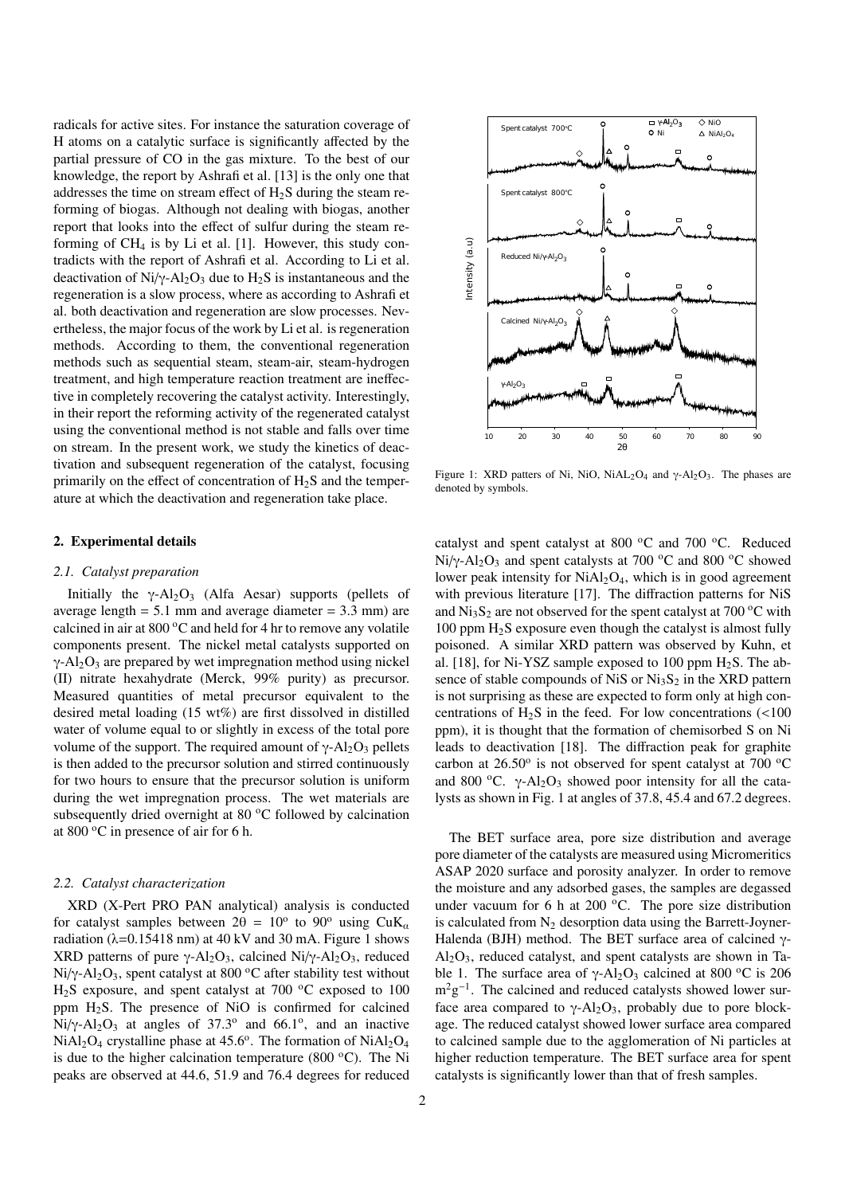radicals for active sites. For instance the saturation coverage of H atoms on a catalytic surface is significantly affected by the partial pressure of CO in the gas mixture. To the best of our knowledge, the report by Ashrafi et al. [13] is the only one that addresses the time on stream effect of  $H_2S$  during the steam reforming of biogas. Although not dealing with biogas, another report that looks into the effect of sulfur during the steam reforming of  $CH_4$  is by Li et al. [1]. However, this study contradicts with the report of Ashrafi et al. According to Li et al. deactivation of Ni/ $\gamma$ -Al<sub>2</sub>O<sub>3</sub> due to H<sub>2</sub>S is instantaneous and the regeneration is a slow process, where as according to Ashrafi et al. both deactivation and regeneration are slow processes. Nevertheless, the major focus of the work by Li et al. is regeneration methods. According to them, the conventional regeneration methods such as sequential steam, steam-air, steam-hydrogen treatment, and high temperature reaction treatment are ineffective in completely recovering the catalyst activity. Interestingly, in their report the reforming activity of the regenerated catalyst using the conventional method is not stable and falls over time on stream. In the present work, we study the kinetics of deactivation and subsequent regeneration of the catalyst, focusing primarily on the effect of concentration of  $H_2S$  and the temperature at which the deactivation and regeneration take place.

## 2. Experimental details

#### *2.1. Catalyst preparation*

Initially the  $\gamma$ -Al<sub>2</sub>O<sub>3</sub> (Alfa Aesar) supports (pellets of average length  $= 5.1$  mm and average diameter  $= 3.3$  mm) are calcined in air at 800 °C and held for 4 hr to remove any volatile components present. The nickel metal catalysts supported on  $\gamma$ -Al<sub>2</sub>O<sub>3</sub> are prepared by wet impregnation method using nickel (II) nitrate hexahydrate (Merck, 99% purity) as precursor. Measured quantities of metal precursor equivalent to the desired metal loading (15 wt%) are first dissolved in distilled water of volume equal to or slightly in excess of the total pore volume of the support. The required amount of  $γ$ -Al<sub>2</sub>O<sub>3</sub> pellets is then added to the precursor solution and stirred continuously for two hours to ensure that the precursor solution is uniform during the wet impregnation process. The wet materials are subsequently dried overnight at 80 °C followed by calcination at 800 $\degree$ C in presence of air for 6 h.

#### *2.2. Catalyst characterization*

XRD (X-Pert PRO PAN analytical) analysis is conducted for catalyst samples between  $2\theta = 10^{\circ}$  to  $90^{\circ}$  using CuK<sub>a</sub> radiation ( $\lambda$ =0.15418 nm) at 40 kV and 30 mA. Figure 1 shows XRD patterns of pure γ-Al<sub>2</sub>O<sub>3</sub>, calcined Ni/γ-Al<sub>2</sub>O<sub>3</sub>, reduced Ni/ $\gamma$ -Al<sub>2</sub>O<sub>3</sub>, spent catalyst at 800 °C after stability test without  $H<sub>2</sub>S$  exposure, and spent catalyst at 700  $^{\circ}C$  exposed to 100 ppm  $H_2S$ . The presence of NiO is confirmed for calcined Ni/ $\gamma$ -Al<sub>2</sub>O<sub>3</sub> at angles of 37.3<sup>o</sup> and 66.1<sup>o</sup>, and an inactive  $NiAl<sub>2</sub>O<sub>4</sub>$  crystalline phase at 45.6°. The formation of  $NiAl<sub>2</sub>O<sub>4</sub>$ is due to the higher calcination temperature (800 $\degree$ C). The Ni peaks are observed at 44.6, 51.9 and 76.4 degrees for reduced



Figure 1: XRD patters of Ni, NiO, NiAL<sub>2</sub>O<sub>4</sub> and  $\gamma$ -Al<sub>2</sub>O<sub>3</sub>. The phases are denoted by symbols.

catalyst and spent catalyst at 800  $^{\circ}$ C and 700  $^{\circ}$ C. Reduced Ni/ $\gamma$ -Al<sub>2</sub>O<sub>3</sub> and spent catalysts at 700 <sup>o</sup>C and 800 <sup>o</sup>C showed lower peak intensity for  $NiAl<sub>2</sub>O<sub>4</sub>$ , which is in good agreement with previous literature [17]. The diffraction patterns for NiS and  $Ni<sub>3</sub>S<sub>2</sub>$  are not observed for the spent catalyst at 700 °C with 100 ppm H2S exposure even though the catalyst is almost fully poisoned. A similar XRD pattern was observed by Kuhn, et al. [18], for Ni-YSZ sample exposed to 100 ppm  $H_2S$ . The absence of stable compounds of NiS or  $Ni<sub>3</sub>S<sub>2</sub>$  in the XRD pattern is not surprising as these are expected to form only at high concentrations of  $H_2S$  in the feed. For low concentrations (<100 ppm), it is thought that the formation of chemisorbed S on Ni leads to deactivation [18]. The diffraction peak for graphite carbon at  $26.50^{\circ}$  is not observed for spent catalyst at 700  $^{\circ}$ C and 800 °C.  $\gamma$ -Al<sub>2</sub>O<sub>3</sub> showed poor intensity for all the catalysts as shown in Fig. 1 at angles of 37.8, 45.4 and 67.2 degrees.

The BET surface area, pore size distribution and average pore diameter of the catalysts are measured using Micromeritics ASAP 2020 surface and porosity analyzer. In order to remove the moisture and any adsorbed gases, the samples are degassed under vacuum for 6 h at 200  $\,^{\circ}$ C. The pore size distribution is calculated from  $N_2$  desorption data using the Barrett-Joyner-Halenda (BJH) method. The BET surface area of calcined γ- $Al_2O_3$ , reduced catalyst, and spent catalysts are shown in Table 1. The surface area of  $\gamma$ -Al<sub>2</sub>O<sub>3</sub> calcined at 800 <sup>o</sup>C is 206  $m^2g^{-1}$ . The calcined and reduced catalysts showed lower surface area compared to  $\gamma$ -Al<sub>2</sub>O<sub>3</sub>, probably due to pore blockage. The reduced catalyst showed lower surface area compared to calcined sample due to the agglomeration of Ni particles at higher reduction temperature. The BET surface area for spent catalysts is significantly lower than that of fresh samples.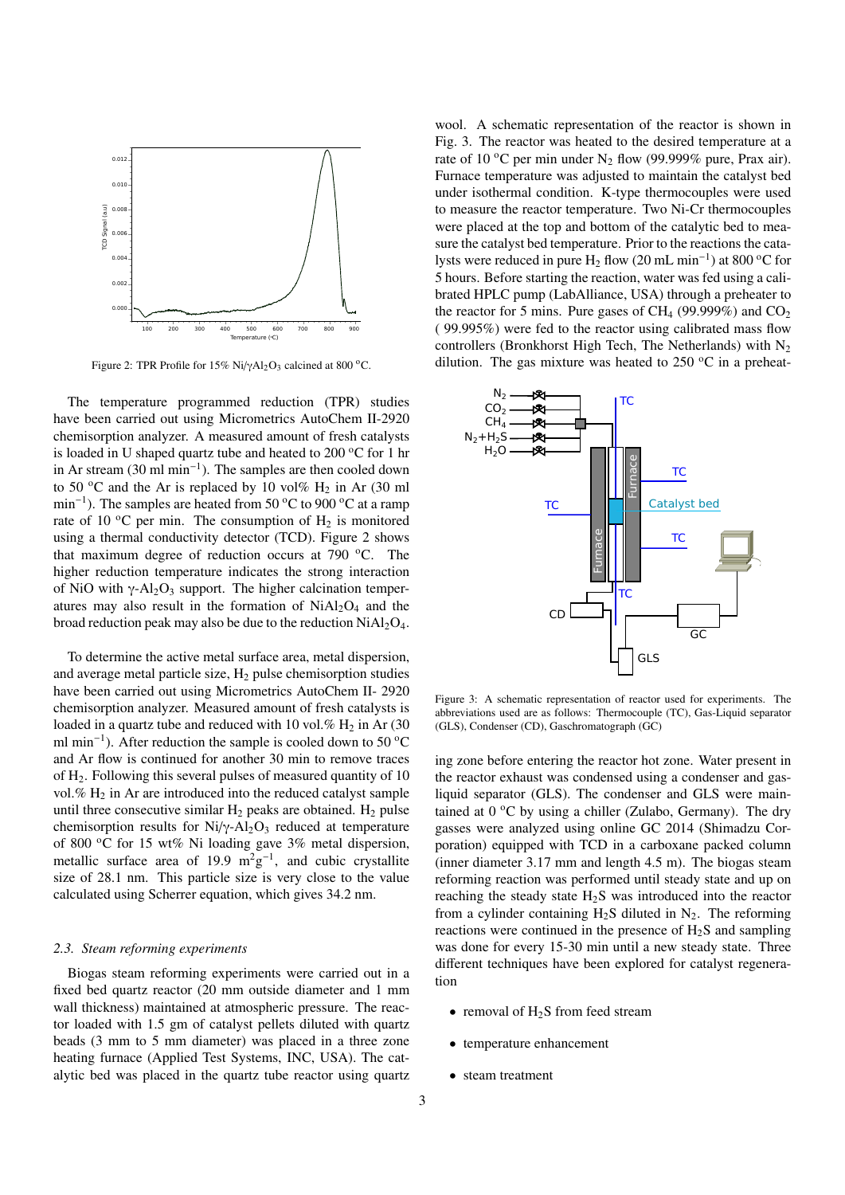

Figure 2: TPR Profile for  $15\%$  Ni/ $\gamma$ Al<sub>2</sub>O<sub>3</sub> calcined at 800 °C.

The temperature programmed reduction (TPR) studies have been carried out using Micrometrics AutoChem II-2920 chemisorption analyzer. A measured amount of fresh catalysts is loaded in U shaped quartz tube and heated to  $200\degree C$  for 1 hr in Ar stream (30 ml min<sup>−</sup><sup>1</sup> ). The samples are then cooled down to 50 °C and the Ar is replaced by 10 vol%  $H_2$  in Ar (30 ml min<sup>-1</sup>). The samples are heated from 50 °C to 900 °C at a ramp rate of 10  $^{\circ}$ C per min. The consumption of H<sub>2</sub> is monitored using a thermal conductivity detector (TCD). Figure 2 shows that maximum degree of reduction occurs at 790  $\,^{\circ}$ C. The higher reduction temperature indicates the strong interaction of NiO with  $\gamma$ -Al<sub>2</sub>O<sub>3</sub> support. The higher calcination temperatures may also result in the formation of  $NiAl<sub>2</sub>O<sub>4</sub>$  and the broad reduction peak may also be due to the reduction  $NiAl<sub>2</sub>O<sub>4</sub>$ .

To determine the active metal surface area, metal dispersion, and average metal particle size,  $H_2$  pulse chemisorption studies have been carried out using Micrometrics AutoChem II- 2920 chemisorption analyzer. Measured amount of fresh catalysts is loaded in a quartz tube and reduced with 10 vol.%  $H_2$  in Ar (30) ml min<sup>-1</sup>). After reduction the sample is cooled down to 50  $\rm{^{\circ}C}$ and Ar flow is continued for another 30 min to remove traces of H2. Following this several pulses of measured quantity of 10 vol.%  $H_2$  in Ar are introduced into the reduced catalyst sample until three consecutive similar  $H_2$  peaks are obtained.  $H_2$  pulse chemisorption results for  $Ni/\gamma$ -Al<sub>2</sub>O<sub>3</sub> reduced at temperature of 800  $\degree$ C for 15 wt% Ni loading gave 3% metal dispersion, metallic surface area of 19.9  $m^2g^{-1}$ , and cubic crystallite size of 28.1 nm. This particle size is very close to the value calculated using Scherrer equation, which gives 34.2 nm.

# *2.3. Steam reforming experiments*

Biogas steam reforming experiments were carried out in a fixed bed quartz reactor (20 mm outside diameter and 1 mm wall thickness) maintained at atmospheric pressure. The reactor loaded with 1.5 gm of catalyst pellets diluted with quartz beads (3 mm to 5 mm diameter) was placed in a three zone heating furnace (Applied Test Systems, INC, USA). The catalytic bed was placed in the quartz tube reactor using quartz

wool. A schematic representation of the reactor is shown in Fig. 3. The reactor was heated to the desired temperature at a rate of 10 °C per min under  $N_2$  flow (99.999% pure, Prax air). Furnace temperature was adjusted to maintain the catalyst bed under isothermal condition. K-type thermocouples were used to measure the reactor temperature. Two Ni-Cr thermocouples were placed at the top and bottom of the catalytic bed to measure the catalyst bed temperature. Prior to the reactions the catalysts were reduced in pure H<sub>2</sub> flow (20 mL min<sup>-1</sup>) at 800 °C for 5 hours. Before starting the reaction, water was fed using a calibrated HPLC pump (LabAlliance, USA) through a preheater to the reactor for 5 mins. Pure gases of CH<sub>4</sub> (99.999%) and  $CO<sub>2</sub>$ ( 99.995%) were fed to the reactor using calibrated mass flow controllers (Bronkhorst High Tech, The Netherlands) with  $N_2$ dilution. The gas mixture was heated to  $250 \degree C$  in a preheat-



Figure 3: A schematic representation of reactor used for experiments. The abbreviations used are as follows: Thermocouple (TC), Gas-Liquid separator (GLS), Condenser (CD), Gaschromatograph (GC)

ing zone before entering the reactor hot zone. Water present in the reactor exhaust was condensed using a condenser and gasliquid separator (GLS). The condenser and GLS were maintained at  $0^{\circ}$ C by using a chiller (Zulabo, Germany). The dry gasses were analyzed using online GC 2014 (Shimadzu Corporation) equipped with TCD in a carboxane packed column (inner diameter 3.17 mm and length 4.5 m). The biogas steam reforming reaction was performed until steady state and up on reaching the steady state  $H<sub>2</sub>S$  was introduced into the reactor from a cylinder containing  $H_2S$  diluted in  $N_2$ . The reforming reactions were continued in the presence of  $H_2S$  and sampling was done for every 15-30 min until a new steady state. Three different techniques have been explored for catalyst regeneration

- removal of  $H_2S$  from feed stream
- temperature enhancement
- steam treatment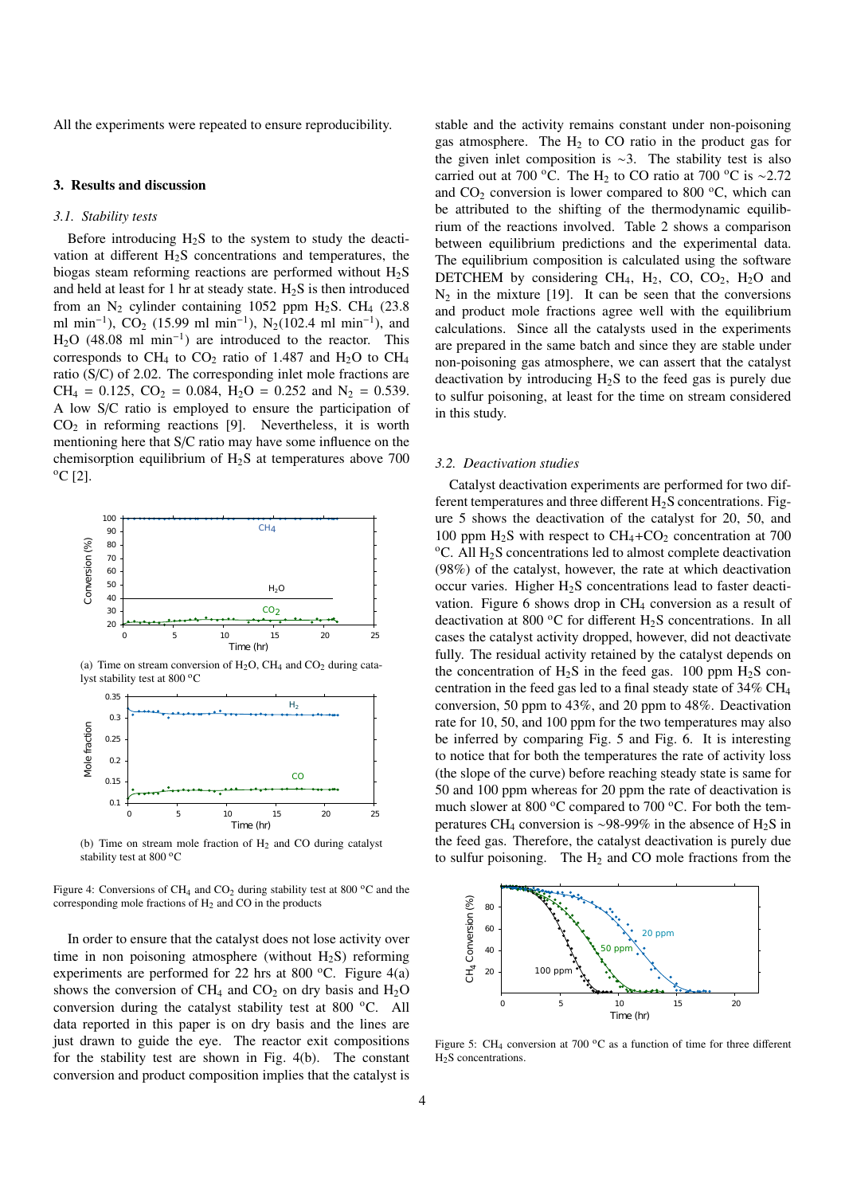All the experiments were repeated to ensure reproducibility.

# 3. Results and discussion

## *3.1. Stability tests*

Before introducing  $H_2S$  to the system to study the deactivation at different  $H_2S$  concentrations and temperatures, the biogas steam reforming reactions are performed without  $H_2S$ and held at least for 1 hr at steady state.  $H<sub>2</sub>S$  is then introduced from an  $N_2$  cylinder containing 1052 ppm H<sub>2</sub>S. CH<sub>4</sub> (23.8) ml min<sup>-1</sup>), CO<sub>2</sub> (15.99 ml min<sup>-1</sup>), N<sub>2</sub>(102.4 ml min<sup>-1</sup>), and  $H<sub>2</sub>O$  (48.08 ml min<sup>-1</sup>) are introduced to the reactor. This corresponds to  $CH_4$  to  $CO_2$  ratio of 1.487 and  $H_2O$  to  $CH_4$ ratio (S/C) of 2.02. The corresponding inlet mole fractions are  $CH_4 = 0.125$ ,  $CO_2 = 0.084$ ,  $H_2O = 0.252$  and  $N_2 = 0.539$ . A low S/C ratio is employed to ensure the participation of  $CO<sub>2</sub>$  in reforming reactions [9]. Nevertheless, it is worth mentioning here that S/C ratio may have some influence on the chemisorption equilibrium of H2S at temperatures above 700  $^{\circ}$ C [2].



(a) Time on stream conversion of  $H_2O$ , CH<sub>4</sub> and CO<sub>2</sub> during catalyst stability test at 800 °C



(b) Time on stream mole fraction of  $H_2$  and CO during catalyst stability test at 800 °C

Figure 4: Conversions of CH<sub>4</sub> and CO<sub>2</sub> during stability test at 800  $^{\circ}$ C and the corresponding mole fractions of H<sup>2</sup> and CO in the products

In order to ensure that the catalyst does not lose activity over time in non poisoning atmosphere (without  $H_2S$ ) reforming experiments are performed for 22 hrs at 800  $^{\circ}$ C. Figure 4(a) shows the conversion of CH<sub>4</sub> and CO<sub>2</sub> on dry basis and H<sub>2</sub>O conversion during the catalyst stability test at  $800^{\circ}$ C. All data reported in this paper is on dry basis and the lines are just drawn to guide the eye. The reactor exit compositions for the stability test are shown in Fig. 4(b). The constant conversion and product composition implies that the catalyst is

stable and the activity remains constant under non-poisoning gas atmosphere. The  $H_2$  to CO ratio in the product gas for the given inlet composition is ∼3. The stability test is also carried out at 700 °C. The H<sub>2</sub> to CO ratio at 700 °C is ~2.72 and  $CO<sub>2</sub>$  conversion is lower compared to 800  $^{\circ}$ C, which can be attributed to the shifting of the thermodynamic equilibrium of the reactions involved. Table 2 shows a comparison between equilibrium predictions and the experimental data. The equilibrium composition is calculated using the software DETCHEM by considering CH<sub>4</sub>, H<sub>2</sub>, CO, CO<sub>2</sub>, H<sub>2</sub>O and  $N_2$  in the mixture [19]. It can be seen that the conversions and product mole fractions agree well with the equilibrium calculations. Since all the catalysts used in the experiments are prepared in the same batch and since they are stable under non-poisoning gas atmosphere, we can assert that the catalyst deactivation by introducing  $H_2S$  to the feed gas is purely due to sulfur poisoning, at least for the time on stream considered in this study.

#### *3.2. Deactivation studies*

Catalyst deactivation experiments are performed for two different temperatures and three different  $H_2S$  concentrations. Figure 5 shows the deactivation of the catalyst for 20, 50, and 100 ppm  $H_2S$  with respect to  $CH_4+CO_2$  concentration at 700  $\rm ^oC$ . All H<sub>2</sub>S concentrations led to almost complete deactivation (98%) of the catalyst, however, the rate at which deactivation occur varies. Higher  $H_2S$  concentrations lead to faster deactivation. Figure 6 shows drop in CH<sub>4</sub> conversion as a result of deactivation at 800  $\rm{^{\circ}C}$  for different H<sub>2</sub>S concentrations. In all cases the catalyst activity dropped, however, did not deactivate fully. The residual activity retained by the catalyst depends on the concentration of  $H_2S$  in the feed gas. 100 ppm  $H_2S$  concentration in the feed gas led to a final steady state of 34% CH<sup>4</sup> conversion, 50 ppm to 43%, and 20 ppm to 48%. Deactivation rate for 10, 50, and 100 ppm for the two temperatures may also be inferred by comparing Fig. 5 and Fig. 6. It is interesting to notice that for both the temperatures the rate of activity loss (the slope of the curve) before reaching steady state is same for 50 and 100 ppm whereas for 20 ppm the rate of deactivation is much slower at 800  $\rm{^oC}$  compared to 700  $\rm{^oC}$ . For both the temperatures CH<sub>4</sub> conversion is ~98-99% in the absence of H<sub>2</sub>S in the feed gas. Therefore, the catalyst deactivation is purely due to sulfur poisoning. The  $H_2$  and CO mole fractions from the



Figure 5: CH<sub>4</sub> conversion at 700  $\rm{^{\circ}C}$  as a function of time for three different H<sub>2</sub>S concentrations.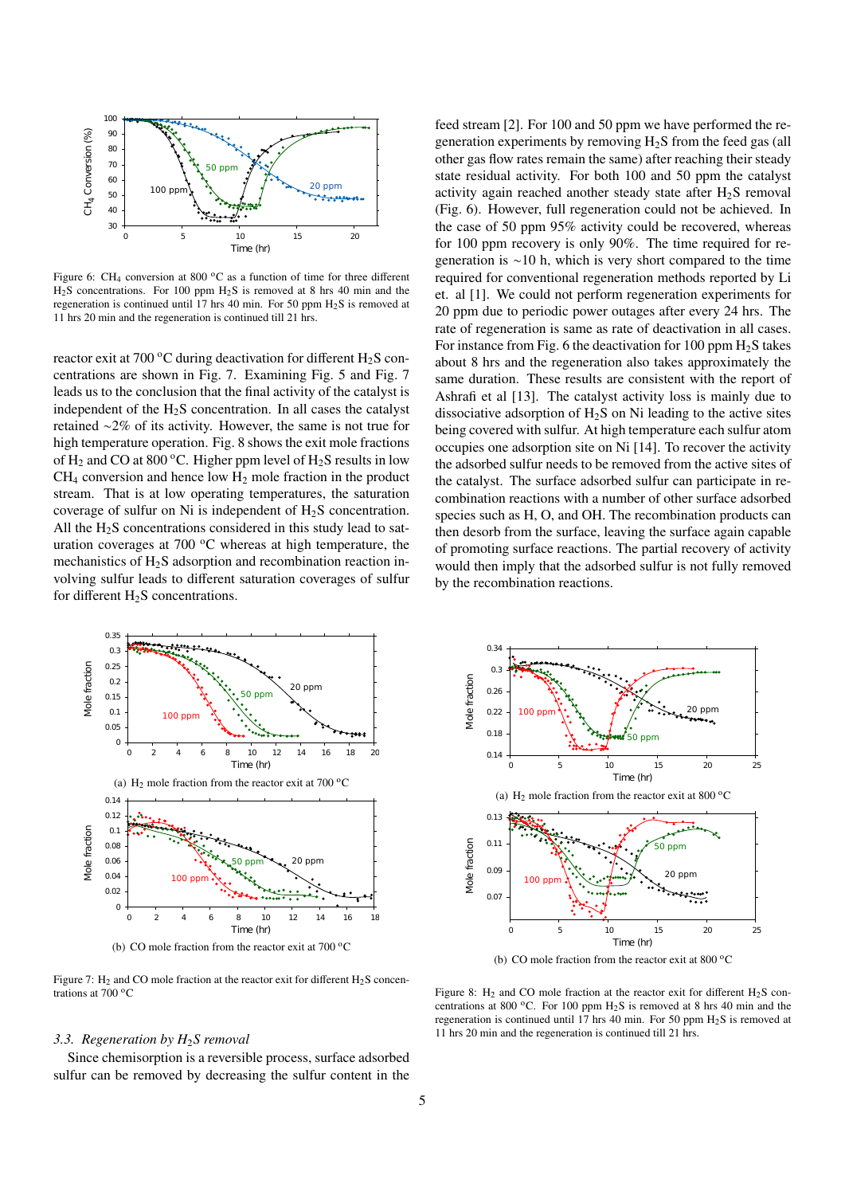

Figure 6: CH<sub>4</sub> conversion at 800  $^{\circ}$ C as a function of time for three different  $H_2S$  concentrations. For 100 ppm  $H_2S$  is removed at 8 hrs 40 min and the regeneration is continued until 17 hrs 40 min. For 50 ppm  $H_2S$  is removed at 11 hrs 20 min and the regeneration is continued till 21 hrs.

reactor exit at 700  $\rm{^oC}$  during deactivation for different H<sub>2</sub>S concentrations are shown in Fig. 7. Examining Fig. 5 and Fig. 7 leads us to the conclusion that the final activity of the catalyst is independent of the  $H_2S$  concentration. In all cases the catalyst retained ∼2% of its activity. However, the same is not true for high temperature operation. Fig. 8 shows the exit mole fractions of  $H_2$  and CO at 800 °C. Higher ppm level of  $H_2S$  results in low  $CH<sub>4</sub>$  conversion and hence low  $H<sub>2</sub>$  mole fraction in the product stream. That is at low operating temperatures, the saturation coverage of sulfur on Ni is independent of  $H_2S$  concentration. All the  $H<sub>2</sub>S$  concentrations considered in this study lead to saturation coverages at  $700\,^{\circ}\text{C}$  whereas at high temperature, the mechanistics of H<sub>2</sub>S adsorption and recombination reaction involving sulfur leads to different saturation coverages of sulfur for different  $H_2S$  concentrations.





(b) CO mole fraction from the reactor exit at  $700\,^{\circ}\text{C}$ 

Figure 7:  $H_2$  and CO mole fraction at the reactor exit for different  $H_2S$  concentrations at  $700\,^{\circ}\text{C}$ 

#### *3.3. Regeneration by H*2*S removal*

Since chemisorption is a reversible process, surface adsorbed sulfur can be removed by decreasing the sulfur content in the



(b) CO mole fraction from the reactor exit at  $800\,^{\circ}$ C

Figure 8: H<sub>2</sub> and CO mole fraction at the reactor exit for different H<sub>2</sub>S concentrations at 800 °C. For 100 ppm  $H_2S$  is removed at 8 hrs 40 min and the regeneration is continued until 17 hrs 40 min. For 50 ppm  $H_2S$  is removed at 11 hrs 20 min and the regeneration is continued till 21 hrs.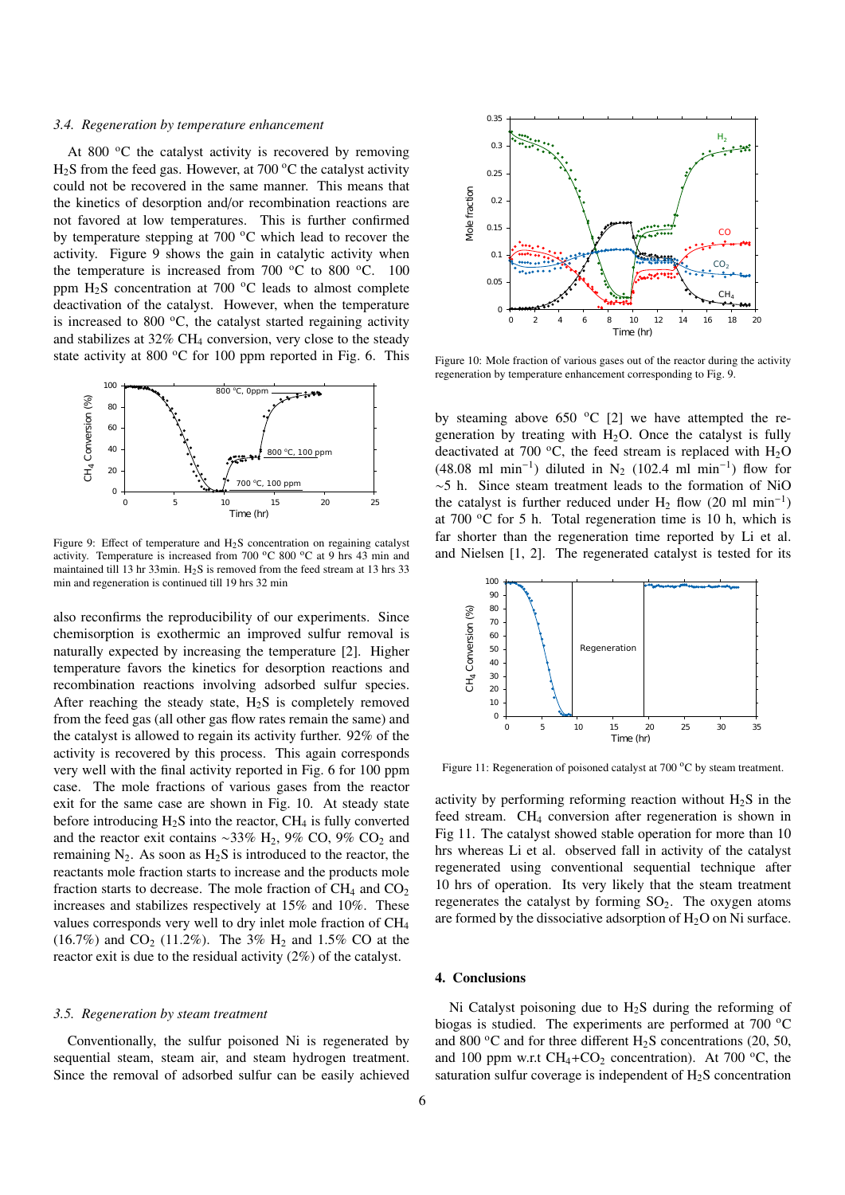#### *3.4. Regeneration by temperature enhancement*

At 800 $\degree$ C the catalyst activity is recovered by removing  $H<sub>2</sub>S$  from the feed gas. However, at 700 °C the catalyst activity could not be recovered in the same manner. This means that the kinetics of desorption and/or recombination reactions are not favored at low temperatures. This is further confirmed by temperature stepping at  $700\degree C$  which lead to recover the activity. Figure 9 shows the gain in catalytic activity when the temperature is increased from 700  $^{\circ}$ C to 800  $^{\circ}$ C. 100 ppm  $H_2S$  concentration at 700 °C leads to almost complete deactivation of the catalyst. However, when the temperature is increased to 800 $\degree$ C, the catalyst started regaining activity and stabilizes at  $32\%$  CH<sub>4</sub> conversion, very close to the steady state activity at 800  $\rm{^{\circ}C}$  for 100 ppm reported in Fig. 6. This



Figure 9: Effect of temperature and H<sub>2</sub>S concentration on regaining catalyst activity. Temperature is increased from 700  $^{\circ}$ C 800  $^{\circ}$ C at 9 hrs 43 min and maintained till 13 hr 33min.  $H_2S$  is removed from the feed stream at 13 hrs 33 min and regeneration is continued till 19 hrs 32 min

also reconfirms the reproducibility of our experiments. Since chemisorption is exothermic an improved sulfur removal is naturally expected by increasing the temperature [2]. Higher temperature favors the kinetics for desorption reactions and recombination reactions involving adsorbed sulfur species. After reaching the steady state,  $H_2S$  is completely removed from the feed gas (all other gas flow rates remain the same) and the catalyst is allowed to regain its activity further. 92% of the activity is recovered by this process. This again corresponds very well with the final activity reported in Fig. 6 for 100 ppm case. The mole fractions of various gases from the reactor exit for the same case are shown in Fig. 10. At steady state before introducing  $H_2S$  into the reactor,  $CH_4$  is fully converted and the reactor exit contains ~33% H<sub>2</sub>, 9% CO, 9% CO<sub>2</sub> and remaining  $N_2$ . As soon as  $H_2S$  is introduced to the reactor, the reactants mole fraction starts to increase and the products mole fraction starts to decrease. The mole fraction of  $CH_4$  and  $CO_2$ increases and stabilizes respectively at 15% and 10%. These values corresponds very well to dry inlet mole fraction of CH<sup>4</sup> (16.7%) and  $CO_2$  (11.2%). The 3% H<sub>2</sub> and 1.5% CO at the reactor exit is due to the residual activity (2%) of the catalyst.

# *3.5. Regeneration by steam treatment*

Conventionally, the sulfur poisoned Ni is regenerated by sequential steam, steam air, and steam hydrogen treatment. Since the removal of adsorbed sulfur can be easily achieved



Figure 10: Mole fraction of various gases out of the reactor during the activity regeneration by temperature enhancement corresponding to Fig. 9.

by steaming above 650  $^{\circ}$ C [2] we have attempted the regeneration by treating with  $H_2O$ . Once the catalyst is fully deactivated at 700 °C, the feed stream is replaced with  $H_2O$ (48.08 ml min<sup>-1</sup>) diluted in N<sub>2</sub> (102.4 ml min<sup>-1</sup>) flow for ∼5 h. Since steam treatment leads to the formation of NiO the catalyst is further reduced under  $H_2$  flow (20 ml min<sup>-1</sup>) at 700  $\,^{\circ}$ C for 5 h. Total regeneration time is 10 h, which is far shorter than the regeneration time reported by Li et al. and Nielsen [1, 2]. The regenerated catalyst is tested for its



Figure 11: Regeneration of poisoned catalyst at 700 °C by steam treatment.

activity by performing reforming reaction without  $H_2S$  in the feed stream. CH<sub>4</sub> conversion after regeneration is shown in Fig 11. The catalyst showed stable operation for more than 10 hrs whereas Li et al. observed fall in activity of the catalyst regenerated using conventional sequential technique after 10 hrs of operation. Its very likely that the steam treatment regenerates the catalyst by forming  $SO<sub>2</sub>$ . The oxygen atoms are formed by the dissociative adsorption of  $H_2O$  on Ni surface.

# 4. Conclusions

Ni Catalyst poisoning due to  $H<sub>2</sub>S$  during the reforming of biogas is studied. The experiments are performed at 700  $^{\circ}$ C and 800  $^{\circ}$ C and for three different H<sub>2</sub>S concentrations (20, 50, and 100 ppm w.r.t  $CH_4 + CO_2$  concentration). At 700 °C, the saturation sulfur coverage is independent of  $H_2S$  concentration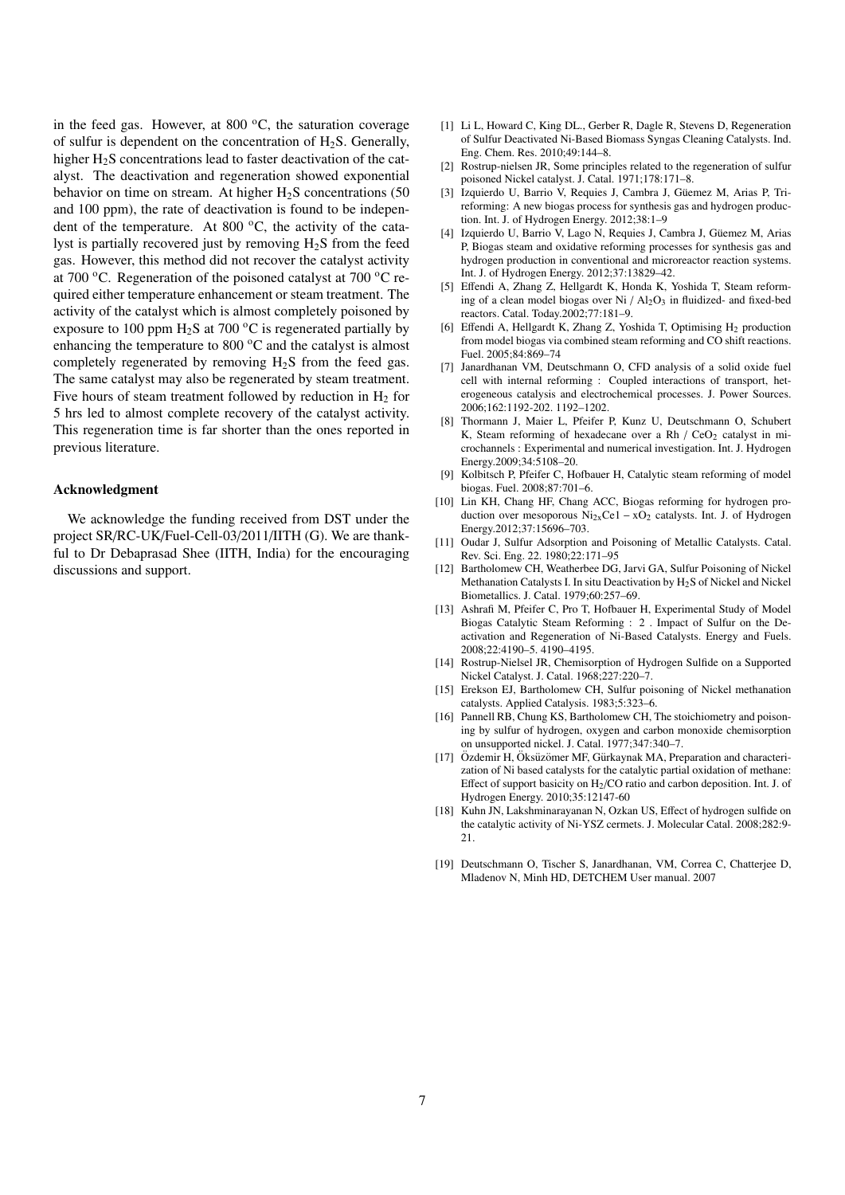in the feed gas. However, at 800  $\,^{\circ}$ C, the saturation coverage of sulfur is dependent on the concentration of  $H_2S$ . Generally, higher  $H_2S$  concentrations lead to faster deactivation of the catalyst. The deactivation and regeneration showed exponential behavior on time on stream. At higher  $H_2S$  concentrations (50 and 100 ppm), the rate of deactivation is found to be independent of the temperature. At 800 $^{\circ}$ C, the activity of the catalyst is partially recovered just by removing  $H<sub>2</sub>S$  from the feed gas. However, this method did not recover the catalyst activity at 700  $\rm{^{\circ}C}$ . Regeneration of the poisoned catalyst at 700  $\rm{^{\circ}C}$  required either temperature enhancement or steam treatment. The activity of the catalyst which is almost completely poisoned by exposure to 100 ppm  $H_2S$  at 700 °C is regenerated partially by enhancing the temperature to 800 $\degree$ C and the catalyst is almost completely regenerated by removing  $H_2S$  from the feed gas. The same catalyst may also be regenerated by steam treatment. Five hours of steam treatment followed by reduction in  $H_2$  for 5 hrs led to almost complete recovery of the catalyst activity. This regeneration time is far shorter than the ones reported in previous literature.

# Acknowledgment

We acknowledge the funding received from DST under the project SR/RC-UK/Fuel-Cell-03/2011/IITH (G). We are thankful to Dr Debaprasad Shee (IITH, India) for the encouraging discussions and support.

- [1] Li L, Howard C, King DL., Gerber R, Dagle R, Stevens D, Regeneration of Sulfur Deactivated Ni-Based Biomass Syngas Cleaning Catalysts. Ind. Eng. Chem. Res. 2010;49:144–8.
- [2] Rostrup-nielsen JR, Some principles related to the regeneration of sulfur poisoned Nickel catalyst. J. Catal. 1971;178:171–8.
- [3] Izquierdo U, Barrio V, Requies J, Cambra J, Güemez M, Arias P, Trireforming: A new biogas process for synthesis gas and hydrogen production. Int. J. of Hydrogen Energy. 2012;38:1–9
- [4] Izquierdo U, Barrio V, Lago N, Requies J, Cambra J, Guemez M, Arias ¨ P, Biogas steam and oxidative reforming processes for synthesis gas and hydrogen production in conventional and microreactor reaction systems. Int. J. of Hydrogen Energy. 2012;37:13829–42.
- [5] Effendi A, Zhang Z, Hellgardt K, Honda K, Yoshida T, Steam reforming of a clean model biogas over Ni  $/$  Al<sub>2</sub>O<sub>3</sub> in fluidized- and fixed-bed reactors. Catal. Today.2002;77:181–9.
- [6] Effendi A, Hellgardt K, Zhang Z, Yoshida T, Optimising  $H_2$  production from model biogas via combined steam reforming and CO shift reactions. Fuel. 2005;84:869–74
- [7] Janardhanan VM, Deutschmann O, CFD analysis of a solid oxide fuel cell with internal reforming : Coupled interactions of transport, heterogeneous catalysis and electrochemical processes. J. Power Sources. 2006;162:1192-202. 1192–1202.
- [8] Thormann J, Maier L, Pfeifer P, Kunz U, Deutschmann O, Schubert K, Steam reforming of hexadecane over a Rh  $/$  CeO<sub>2</sub> catalyst in microchannels : Experimental and numerical investigation. Int. J. Hydrogen Energy.2009;34:5108–20.
- [9] Kolbitsch P, Pfeifer C, Hofbauer H, Catalytic steam reforming of model biogas. Fuel. 2008;87:701–6.
- [10] Lin KH, Chang HF, Chang ACC, Biogas reforming for hydrogen production over mesoporous Ni2xCe1 − xO<sup>2</sup> catalysts. Int. J. of Hydrogen Energy.2012;37:15696–703.
- [11] Oudar J, Sulfur Adsorption and Poisoning of Metallic Catalysts. Catal. Rev. Sci. Eng. 22. 1980;22:171–95
- [12] Bartholomew CH, Weatherbee DG, Jarvi GA, Sulfur Poisoning of Nickel Methanation Catalysts I. In situ Deactivation by H2S of Nickel and Nickel Biometallics. J. Catal. 1979;60:257–69.
- [13] Ashrafi M, Pfeifer C, Pro T, Hofbauer H, Experimental Study of Model Biogas Catalytic Steam Reforming : 2 . Impact of Sulfur on the Deactivation and Regeneration of Ni-Based Catalysts. Energy and Fuels. 2008;22:4190–5. 4190–4195.
- [14] Rostrup-Nielsel JR, Chemisorption of Hydrogen Sulfide on a Supported Nickel Catalyst. J. Catal. 1968;227:220–7.
- [15] Erekson EJ, Bartholomew CH, Sulfur poisoning of Nickel methanation catalysts. Applied Catalysis. 1983;5:323–6.
- [16] Pannell RB, Chung KS, Bartholomew CH, The stoichiometry and poisoning by sulfur of hydrogen, oxygen and carbon monoxide chemisorption on unsupported nickel. J. Catal. 1977;347:340–7.
- [17] Özdemir H, Öksüzömer MF, Gürkaynak MA, Preparation and characterization of Ni based catalysts for the catalytic partial oxidation of methane: Effect of support basicity on H2/CO ratio and carbon deposition. Int. J. of Hydrogen Energy. 2010;35:12147-60
- [18] Kuhn JN, Lakshminarayanan N, Ozkan US, Effect of hydrogen sulfide on the catalytic activity of Ni-YSZ cermets. J. Molecular Catal. 2008;282:9- 21.
- [19] Deutschmann O, Tischer S, Janardhanan, VM, Correa C, Chatterjee D, Mladenov N, Minh HD, DETCHEM User manual. 2007